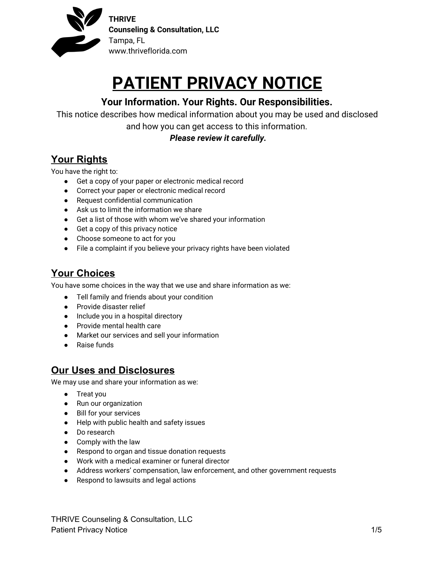

# **PATIENT PRIVACY NOTICE**

### **Your Information. Your Rights. Our Responsibilities.**

This notice describes how medical information about you may be used and disclosed and how you can get access to this information.

#### *Please review it carefully.*

### **Your Rights**

You have the right to:

- Get a copy of your paper or electronic medical record
- Correct your paper or electronic medical record
- Request confidential communication
- Ask us to limit the information we share
- Get a list of those with whom we've shared your information
- Get a copy of this privacy notice
- Choose someone to act for you
- File a complaint if you believe your privacy rights have been violated

### **Your Choices**

You have some choices in the way that we use and share information as we:

- Tell family and friends about your condition
- Provide disaster relief
- Include you in a hospital directory
- Provide mental health care
- Market our services and sell your information
- Raise funds

### **Our Uses and Disclosures**

We may use and share your information as we:

- Treat you
- Run our organization
- Bill for your services
- Help with public health and safety issues
- Do research
- Comply with the law
- Respond to organ and tissue donation requests
- Work with a medical examiner or funeral director
- Address workers' compensation, law enforcement, and other government requests
- Respond to lawsuits and legal actions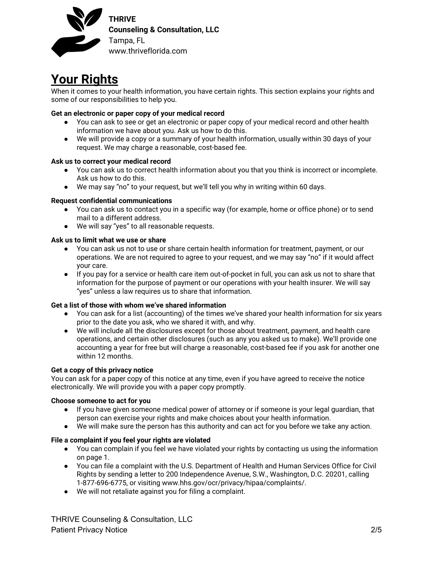

**THRIVE Counseling & Consultation, LLC** Tampa, FL www.thriveflorida.com

# **Your Rights**

When it comes to your health information, you have certain rights. This section explains your rights and some of our responsibilities to help you.

#### **Get an electronic or paper copy of your medical record**

- You can ask to see or get an electronic or paper copy of your medical record and other health information we have about you. Ask us how to do this.
- We will provide a copy or a summary of your health information, usually within 30 days of your request. We may charge a reasonable, cost-based fee.

#### **Ask us to correct your medical record**

- You can ask us to correct health information about you that you think is incorrect or incomplete. Ask us how to do this.
- We may say "no" to your request, but we'll tell you why in writing within 60 days.

#### **Request confidential communications**

- You can ask us to contact you in a specific way (for example, home or office phone) or to send mail to a different address.
- We will say "yes" to all reasonable requests.

#### **Ask us to limit what we use or share**

- You can ask us not to use or share certain health information for treatment, payment, or our operations. We are not required to agree to your request, and we may say "no" if it would affect your care.
- If you pay for a service or health care item out-of-pocket in full, you can ask us not to share that information for the purpose of payment or our operations with your health insurer. We will say "yes" unless a law requires us to share that information.

#### **Get a list of those with whom we've shared information**

- You can ask for a list (accounting) of the times we've shared your health information for six years prior to the date you ask, who we shared it with, and why.
- We will include all the disclosures except for those about treatment, payment, and health care operations, and certain other disclosures (such as any you asked us to make). We'll provide one accounting a year for free but will charge a reasonable, cost-based fee if you ask for another one within 12 months.

#### **Get a copy of this privacy notice**

You can ask for a paper copy of this notice at any time, even if you have agreed to receive the notice electronically. We will provide you with a paper copy promptly.

#### **Choose someone to act for you**

- If you have given someone medical power of attorney or if someone is your legal guardian, that person can exercise your rights and make choices about your health information.
- We will make sure the person has this authority and can act for you before we take any action.

#### **File a complaint if you feel your rights are violated**

- You can complain if you feel we have violated your rights by contacting us using the information on page 1.
- You can file a complaint with the U.S. Department of Health and Human Services Office for Civil Rights by sending a letter to 200 Independence Avenue, S.W., Washington, D.C. 20201, calling 1-877-696-6775, or visiting www.hhs.gov/ocr/privacy/hipaa/complaints/.
- We will not retaliate against you for filing a complaint.

THRIVE Counseling & Consultation, LLC Patient Privacy Notice 2/5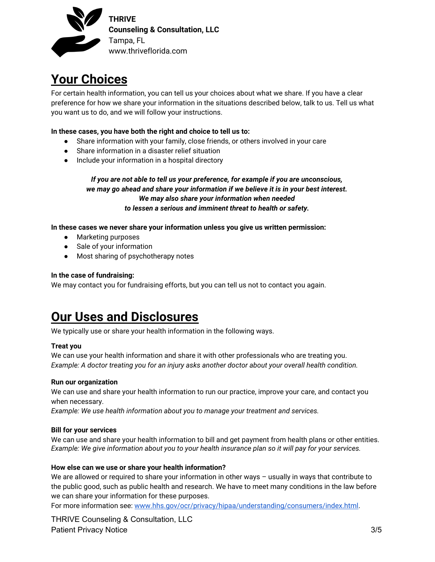

# **Your Choices**

For certain health information, you can tell us your choices about what we share. If you have a clear preference for how we share your information in the situations described below, talk to us. Tell us what you want us to do, and we will follow your instructions.

#### **In these cases, you have both the right and choice to tell us to:**

- Share information with your family, close friends, or others involved in your care
- Share information in a disaster relief situation
- Include your information in a hospital directory

*If you are not able to tell us your preference, for example if you are unconscious, we may go ahead and share your information if we believe it is in your best interest. We may also share your information when needed to lessen a serious and imminent threat to health or safety.*

#### **In these cases we never share your information unless you give us written permission:**

- Marketing purposes
- Sale of your information
- Most sharing of psychotherapy notes

#### **In the case of fundraising:**

We may contact you for fundraising efforts, but you can tell us not to contact you again.

## **Our Uses and Disclosures**

We typically use or share your health information in the following ways.

#### **Treat you**

We can use your health information and share it with other professionals who are treating you. *Example: A doctor treating you for an injury asks another doctor about your overall health condition.*

#### **Run our organization**

We can use and share your health information to run our practice, improve your care, and contact you when necessary.

*Example: We use health information about you to manage your treatment and services.*

#### **Bill for your services**

We can use and share your health information to bill and get payment from health plans or other entities. Example: We give information about you to your health insurance plan so it will pay for your services.

#### **How else can we use or share your health information?**

We are allowed or required to share your information in other ways – usually in ways that contribute to the public good, such as public health and research. We have to meet many conditions in the law before we can share your information for these purposes.

For more information see: [www.hhs.gov/ocr/privacy/hipaa/understanding/consumers/index.html.](http://www.hhs.gov/ocr/privacy/hipaa/understanding/consumers/index.html)

THRIVE Counseling & Consultation, LLC Patient Privacy Notice 3/5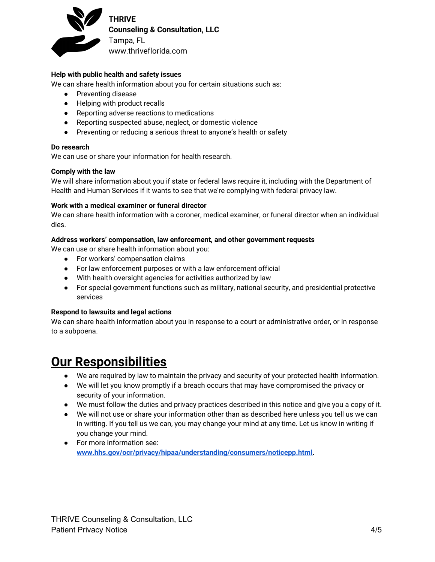

**THRIVE Counseling & Consultation, LLC** Tampa, FL www.thriveflorida.com

#### **Help with public health and safety issues**

We can share health information about you for certain situations such as:

- Preventing disease
- Helping with product recalls
- Reporting adverse reactions to medications
- Reporting suspected abuse, neglect, or domestic violence
- Preventing or reducing a serious threat to anyone's health or safety

#### **Do research**

We can use or share your information for health research.

#### **Comply with the law**

We will share information about you if state or federal laws require it, including with the Department of Health and Human Services if it wants to see that we're complying with federal privacy law.

#### **Work with a medical examiner or funeral director**

We can share health information with a coroner, medical examiner, or funeral director when an individual dies.

#### **Address workers' compensation, law enforcement, and other government requests**

We can use or share health information about you:

- For workers' compensation claims
- For law enforcement purposes or with a law enforcement official
- With health oversight agencies for activities authorized by law
- For special government functions such as military, national security, and presidential protective services

#### **Respond to lawsuits and legal actions**

We can share health information about you in response to a court or administrative order, or in response to a subpoena.

### **Our Responsibilities**

- We are required by law to maintain the privacy and security of your protected health information.
- We will let you know promptly if a breach occurs that may have compromised the privacy or security of your information.
- We must follow the duties and privacy practices described in this notice and give you a copy of it.
- We will not use or share your information other than as described here unless you tell us we can in writing. If you tell us we can, you may change your mind at any time. Let us know in writing if you change your mind.
- For more information see: **[www.hhs.gov/ocr/privacy/hipaa/understanding/consumers/noticepp.html.](http://www.hhs.gov/ocr/privacy/hipaa/understanding/consumers/noticepp.html)**